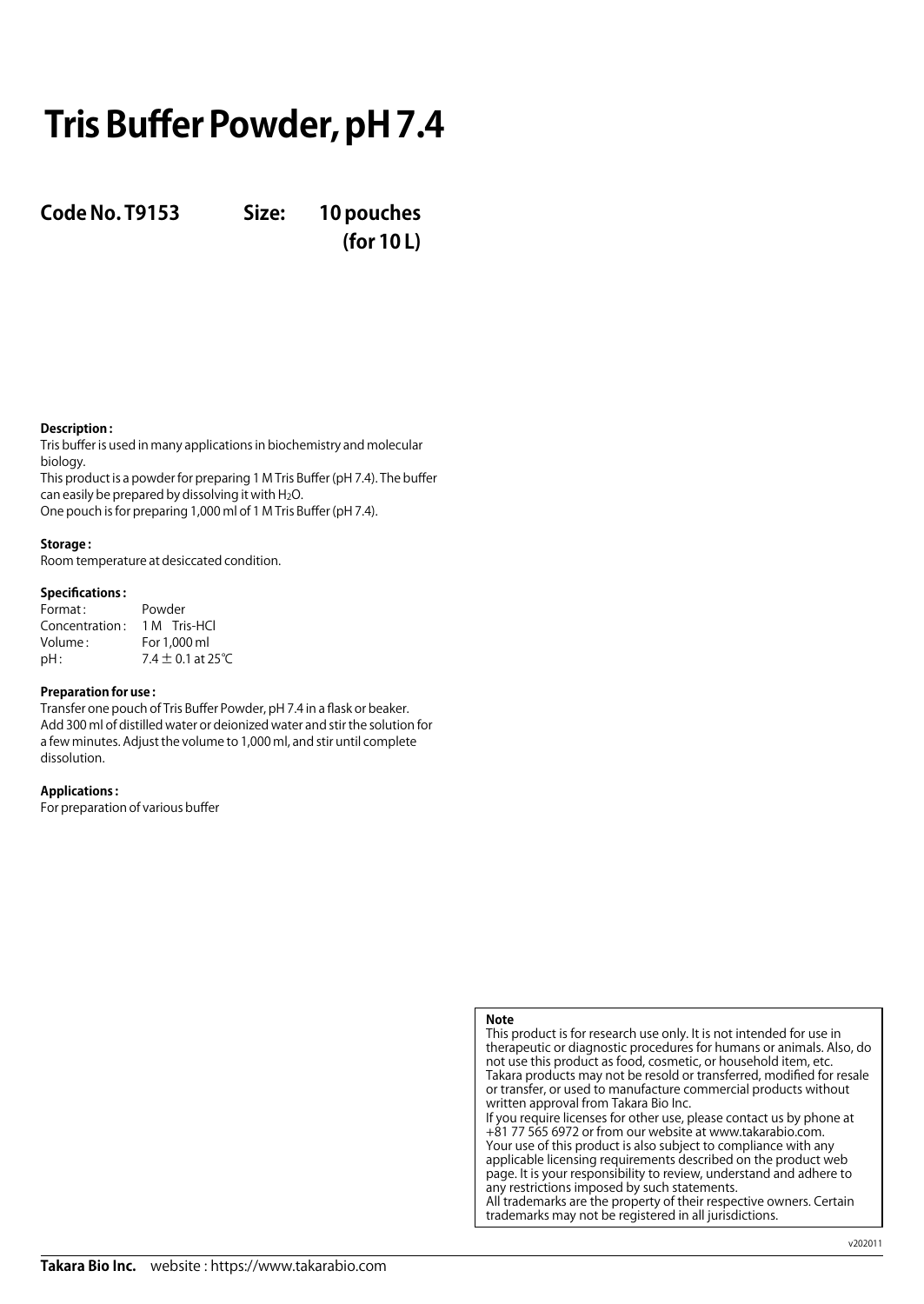# **Tris Buffer Powder, pH 7.4**

**Code No. T9153 Size: 10 pouches**

**(for 10 L)**

### **Description :**

Tris buffer is used in many applications in biochemistry and molecular biology.

This product is a powder for preparing 1 M Tris Buffer (pH 7.4). The buffer can easily be prepared by dissolving it with H2O. One pouch is for preparing 1,000 ml of 1 M Tris Buffer (pH 7.4).

### **Storage :**

Room temperature at desiccated condition.

### **Specifications :**

| Format:        | Powder                |
|----------------|-----------------------|
| Concentration: | 1 M Tris-HCl          |
| Volume:        | For 1,000 ml          |
| $pH$ :         | $7.4 \pm 0.1$ at 25°C |

### **Preparation for use :**

Transfer one pouch of Tris Buffer Powder, pH 7.4 in a flask or beaker. Add 300 ml of distilled water or deionized water and stir the solution for a few minutes. Adjust the volume to 1,000 ml, and stir until complete dissolution.

### **Applications :**

For preparation of various buffer

### **Note**

This product is for research use only. It is not intended for use in therapeutic or diagnostic procedures for humans or animals. Also, do not use this product as food, cosmetic, or household item, etc. Takara products may not be resold or transferred, modified for resale or transfer, or used to manufacture commercial products without written approval from Takara Bio Inc. If you require licenses for other use, please contact us by phone at +81 77 565 6972 or from our website at www.takarabio.com.

Your use of this product is also subject to compliance with any applicable licensing requirements described on the product web page. It is your responsibility to review, understand and adhere to any restrictions imposed by such statements. All trademarks are the property of their respective owners. Certain

trademarks may not be registered in all jurisdictions.